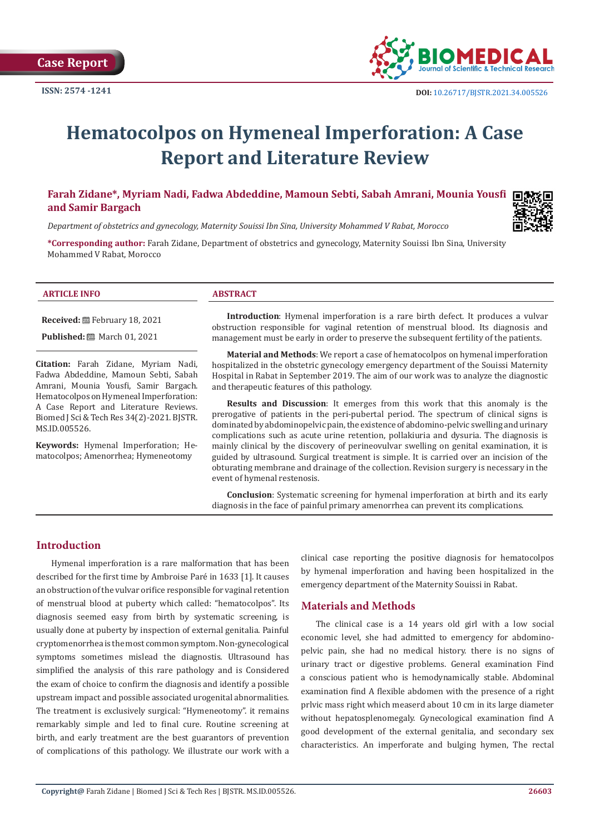

# **Hematocolpos on Hymeneal Imperforation: A Case Report and Literature Review**

# **Farah Zidane\*, Myriam Nadi, Fadwa Abdeddine, Mamoun Sebti, Sabah Amrani, Mounia Yousfi and Samir Bargach**

*Department of obstetrics and gynecology, Maternity Souissi Ibn Sina, University Mohammed V Rabat, Morocco*

**\*Corresponding author:** Farah Zidane, Department of obstetrics and gynecology, Maternity Souissi Ibn Sina, University Mohammed V Rabat, Morocco

#### **ARTICLE INFO ABSTRACT**

**Received:** February 18, 2021

**Published:** ■ March 01, 2021

**Citation:** Farah Zidane, Myriam Nadi, Fadwa Abdeddine, Mamoun Sebti, Sabah Amrani, Mounia Yousfi, Samir Bargach. Hematocolpos on Hymeneal Imperforation: A Case Report and Literature Reviews. Biomed J Sci & Tech Res 34(2)-2021. BJSTR. MS.ID.005526.

**Keywords:** Hymenal Imperforation; Hematocolpos; Amenorrhea; Hymeneotomy

**Introduction**: Hymenal imperforation is a rare birth defect. It produces a vulvar obstruction responsible for vaginal retention of menstrual blood. Its diagnosis and management must be early in order to preserve the subsequent fertility of the patients.

**Material and Methods**: We report a case of hematocolpos on hymenal imperforation hospitalized in the obstetric gynecology emergency department of the Souissi Maternity Hospital in Rabat in September 2019. The aim of our work was to analyze the diagnostic and therapeutic features of this pathology.

**Results and Discussion**: It emerges from this work that this anomaly is the prerogative of patients in the peri-pubertal period. The spectrum of clinical signs is dominated by abdominopelvic pain, the existence of abdomino-pelvic swelling and urinary complications such as acute urine retention, pollakiuria and dysuria. The diagnosis is mainly clinical by the discovery of perineovulvar swelling on genital examination, it is guided by ultrasound. Surgical treatment is simple. It is carried over an incision of the obturating membrane and drainage of the collection. Revision surgery is necessary in the event of hymenal restenosis.

**Conclusion**: Systematic screening for hymenal imperforation at birth and its early diagnosis in the face of painful primary amenorrhea can prevent its complications.

# **Introduction**

Hymenal imperforation is a rare malformation that has been described for the first time by Ambroise Paré in 1633 [1]. It causes an obstruction of the vulvar orifice responsible for vaginal retention of menstrual blood at puberty which called: "hematocolpos". Its diagnosis seemed easy from birth by systematic screening, is usually done at puberty by inspection of external genitalia. Painful cryptomenorrhea is the most common symptom. Non-gynecological symptoms sometimes mislead the diagnostis. Ultrasound has simplified the analysis of this rare pathology and is Considered the exam of choice to confirm the diagnosis and identify a possible upstream impact and possible associated urogenital abnormalities. The treatment is exclusively surgical: "Hymeneotomy". it remains remarkably simple and led to final cure. Routine screening at birth, and early treatment are the best guarantors of prevention of complications of this pathology. We illustrate our work with a

clinical case reporting the positive diagnosis for hematocolpos by hymenal imperforation and having been hospitalized in the emergency department of the Maternity Souissi in Rabat.

# **Materials and Methods**

The clinical case is a 14 years old girl with a low social economic level, she had admitted to emergency for abdominopelvic pain, she had no medical history. there is no signs of urinary tract or digestive problems. General examination Find a conscious patient who is hemodynamically stable. Abdominal examination find A flexible abdomen with the presence of a right prlvic mass right which measerd about 10 cm in its large diameter without hepatosplenomegaly. Gynecological examination find A good development of the external genitalia, and secondary sex characteristics. An imperforate and bulging hymen, The rectal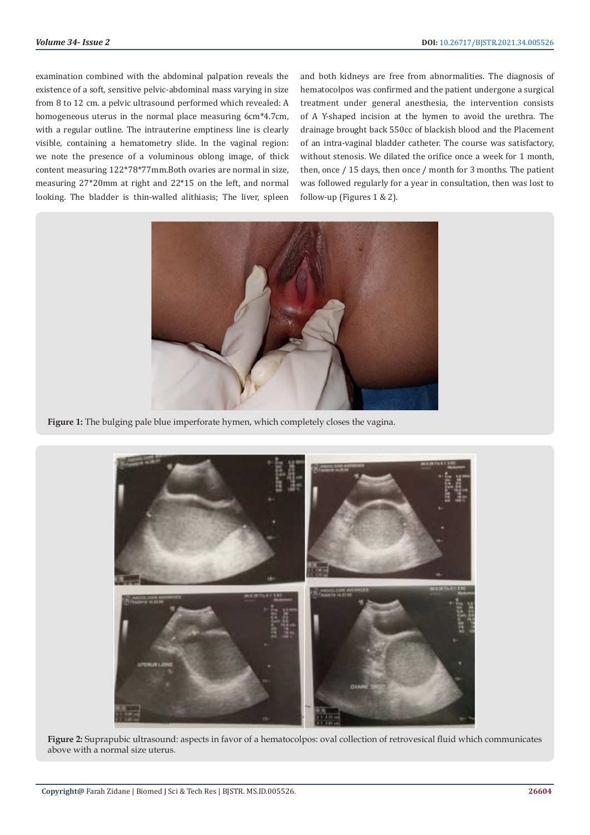examination combined with the abdominal palpation reveals the existence of a soft, sensitive pelvic-abdominal mass varying in size from 8 to 12 cm. a pelvic ultrasound performed which revealed: A homogeneous uterus in the normal place measuring 6cm\*4.7cm, with a regular outline. The intrauterine emptiness line is clearly visible, containing a hematometry slide. In the vaginal region: we note the presence of a voluminous oblong image, of thick content measuring 122\*78\*77mm.Both ovaries are normal in size, measuring 27\*20mm at right and 22\*15 on the left, and normal looking. The bladder is thin-walled alithiasis; The liver, spleen

and both kidneys are free from abnormalities. The diagnosis of hematocolpos was confirmed and the patient undergone a surgical treatment under general anesthesia, the intervention consists of A Y-shaped incision at the hymen to avoid the urethra. The drainage brought back 550cc of blackish blood and the Placement of an intra-vaginal bladder catheter. The course was satisfactory, without stenosis. We dilated the orifice once a week for 1 month, then, once / 15 days, then once / month for 3 months. The patient was followed regularly for a year in consultation, then was lost to follow-up (Figures 1 & 2).



**Figure 1:** The bulging pale blue imperforate hymen, which completely closes the vagina.



**Figure 2:** Suprapubic ultrasound: aspects in favor of a hematocolpos: oval collection of retrovesical fluid which communicates above with a normal size uterus.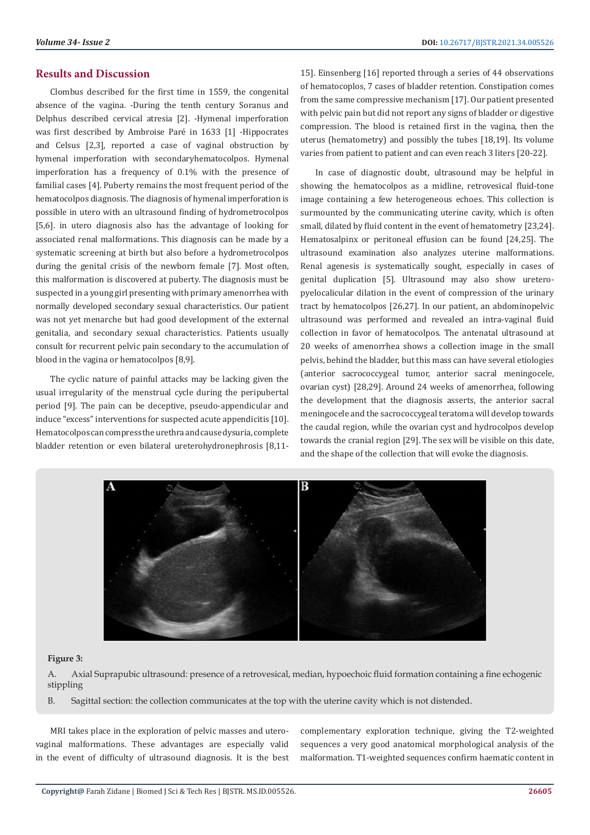# **Results and Discussion**

Clombus described for the first time in 1559, the congenital absence of the vagina. -During the tenth century Soranus and Delphus described cervical atresia [2]. -Hymenal imperforation was first described by Ambroise Paré in 1633 [1] -Hippocrates and Celsus [2,3], reported a case of vaginal obstruction by hymenal imperforation with secondaryhematocolpos. Hymenal imperforation has a frequency of 0.1% with the presence of familial cases [4]. Puberty remains the most frequent period of the hematocolpos diagnosis. The diagnosis of hymenal imperforation is possible in utero with an ultrasound finding of hydrometrocolpos [5,6]. in utero diagnosis also has the advantage of looking for associated renal malformations. This diagnosis can be made by a systematic screening at birth but also before a hydrometrocolpos during the genital crisis of the newborn female [7]. Most often, this malformation is discovered at puberty. The diagnosis must be suspected in a young girl presenting with primary amenorrhea with normally developed secondary sexual characteristics. Our patient was not yet menarche but had good development of the external genitalia, and secondary sexual characteristics. Patients usually consult for recurrent pelvic pain secondary to the accumulation of blood in the vagina or hematocolpos [8,9].

The cyclic nature of painful attacks may be lacking given the usual irregularity of the menstrual cycle during the peripubertal period [9]. The pain can be deceptive, pseudo-appendicular and induce "excess" interventions for suspected acute appendicitis [10]. Hematocolpos can compress the urethra and cause dysuria, complete bladder retention or even bilateral ureterohydronephrosis [8,1115]. Einsenberg [16] reported through a series of 44 observations of hematocoplos, 7 cases of bladder retention. Constipation comes from the same compressive mechanism [17]. Our patient presented with pelvic pain but did not report any signs of bladder or digestive compression. The blood is retained first in the vagina, then the uterus (hematometry) and possibly the tubes [18,19]. Its volume varies from patient to patient and can even reach 3 liters [20-22].

In case of diagnostic doubt, ultrasound may be helpful in showing the hematocolpos as a midline, retrovesical fluid-tone image containing a few heterogeneous echoes. This collection is surmounted by the communicating uterine cavity, which is often small, dilated by fluid content in the event of hematometry [23,24]. Hematosalpinx or peritoneal effusion can be found [24,25]. The ultrasound examination also analyzes uterine malformations. Renal agenesis is systematically sought, especially in cases of genital duplication [5]. Ultrasound may also show ureteropyelocalicular dilation in the event of compression of the urinary tract by hematocolpos [26,27]. In our patient, an abdominopelvic ultrasound was performed and revealed an intra-vaginal fluid collection in favor of hematocolpos. The antenatal ultrasound at 20 weeks of amenorrhea shows a collection image in the small pelvis, behind the bladder, but this mass can have several etiologies (anterior sacrococcygeal tumor, anterior sacral meningocele, ovarian cyst) [28,29]. Around 24 weeks of amenorrhea, following the development that the diagnosis asserts, the anterior sacral meningocele and the sacrococcygeal teratoma will develop towards the caudal region, while the ovarian cyst and hydrocolpos develop towards the cranial region [29]. The sex will be visible on this date, and the shape of the collection that will evoke the diagnosis.



#### **Figure 3:**

A. Axial Suprapubic ultrasound: presence of a retrovesical, median, hypoechoic fluid formation containing a fine echogenic stippling

B. Sagittal section: the collection communicates at the top with the uterine cavity which is not distended.

MRI takes place in the exploration of pelvic masses and uterovaginal malformations. These advantages are especially valid in the event of difficulty of ultrasound diagnosis. It is the best complementary exploration technique, giving the T2-weighted sequences a very good anatomical morphological analysis of the malformation. T1-weighted sequences confirm haematic content in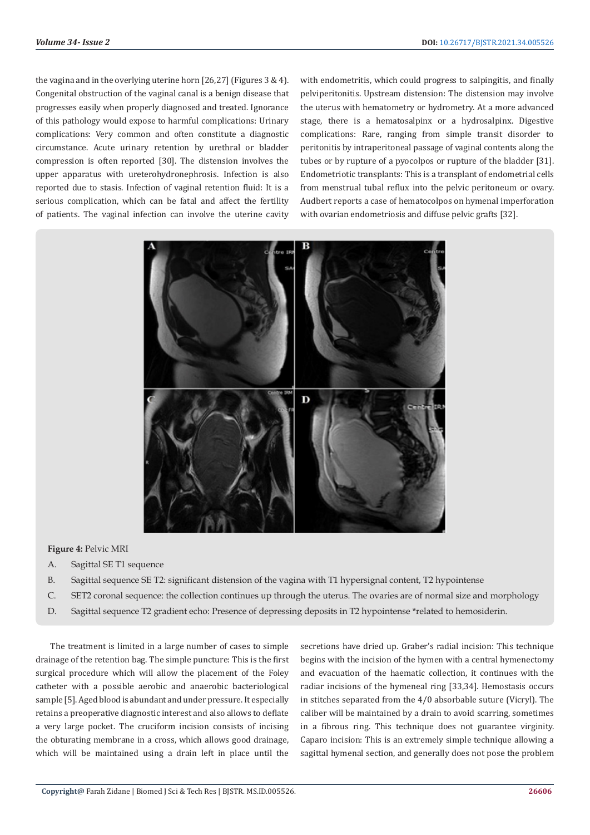the vagina and in the overlying uterine horn [26,27] (Figures 3 & 4). Congenital obstruction of the vaginal canal is a benign disease that progresses easily when properly diagnosed and treated. Ignorance of this pathology would expose to harmful complications: Urinary complications: Very common and often constitute a diagnostic circumstance. Acute urinary retention by urethral or bladder compression is often reported [30]. The distension involves the upper apparatus with ureterohydronephrosis. Infection is also reported due to stasis. Infection of vaginal retention fluid: It is a serious complication, which can be fatal and affect the fertility of patients. The vaginal infection can involve the uterine cavity with endometritis, which could progress to salpingitis, and finally pelviperitonitis. Upstream distension: The distension may involve the uterus with hematometry or hydrometry. At a more advanced stage, there is a hematosalpinx or a hydrosalpinx. Digestive complications: Rare, ranging from simple transit disorder to peritonitis by intraperitoneal passage of vaginal contents along the tubes or by rupture of a pyocolpos or rupture of the bladder [31]. Endometriotic transplants: This is a transplant of endometrial cells from menstrual tubal reflux into the pelvic peritoneum or ovary. Audbert reports a case of hematocolpos on hymenal imperforation with ovarian endometriosis and diffuse pelvic grafts [32].



## **Figure 4:** Pelvic MRI

- A. Sagittal SE T1 sequence
- B. Sagittal sequence SE T2: significant distension of the vagina with T1 hypersignal content, T2 hypointense
- C. SET2 coronal sequence: the collection continues up through the uterus. The ovaries are of normal size and morphology
- D. Sagittal sequence T2 gradient echo: Presence of depressing deposits in T2 hypointense \*related to hemosiderin.

The treatment is limited in a large number of cases to simple drainage of the retention bag. The simple puncture: This is the first surgical procedure which will allow the placement of the Foley catheter with a possible aerobic and anaerobic bacteriological sample [5]. Aged blood is abundant and under pressure. It especially retains a preoperative diagnostic interest and also allows to deflate a very large pocket. The cruciform incision consists of incising the obturating membrane in a cross, which allows good drainage, which will be maintained using a drain left in place until the secretions have dried up. Graber's radial incision: This technique begins with the incision of the hymen with a central hymenectomy and evacuation of the haematic collection, it continues with the radiar incisions of the hymeneal ring [33,34]. Hemostasis occurs in stitches separated from the 4/0 absorbable suture (Vicryl). The caliber will be maintained by a drain to avoid scarring, sometimes in a fibrous ring. This technique does not guarantee virginity. Caparo incision: This is an extremely simple technique allowing a sagittal hymenal section, and generally does not pose the problem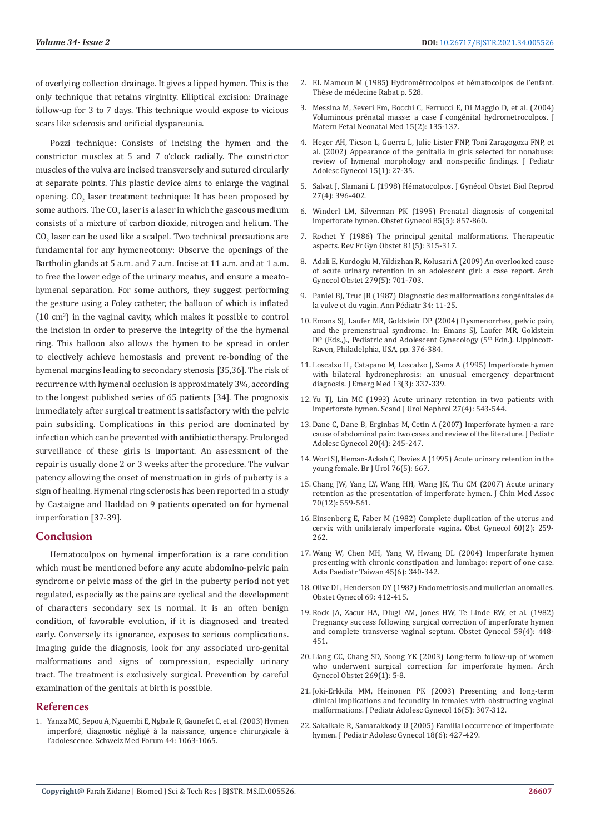of overlying collection drainage. It gives a lipped hymen. This is the only technique that retains virginity. Elliptical excision: Drainage follow-up for 3 to 7 days. This technique would expose to vicious scars like sclerosis and orificial dyspareunia.

Pozzi technique: Consists of incising the hymen and the constrictor muscles at 5 and 7 o'clock radially. The constrictor muscles of the vulva are incised transversely and sutured circularly at separate points. This plastic device aims to enlarge the vaginal opening.  $\mathsf{CO}_2$  laser treatment technique: It has been proposed by some authors. The CO $_2$  laser is a laser in which the gaseous medium consists of a mixture of carbon dioxide, nitrogen and helium. The  $\mathsf{CO}_2$  laser can be used like a scalpel. Two technical precautions are fundamental for any hymeneotomy: Observe the openings of the Bartholin glands at 5 a.m. and 7 a.m. Incise at 11 a.m. and at 1 a.m. to free the lower edge of the urinary meatus, and ensure a meatohymenal separation. For some authors, they suggest performing the gesture using a Foley catheter, the balloon of which is inflated  $(10 \text{ cm}^3)$  in the vaginal cavity, which makes it possible to control the incision in order to preserve the integrity of the the hymenal ring. This balloon also allows the hymen to be spread in order to electively achieve hemostasis and prevent re-bonding of the hymenal margins leading to secondary stenosis [35,36]. The risk of recurrence with hymenal occlusion is approximately 3%, according to the longest published series of 65 patients [34]. The prognosis immediately after surgical treatment is satisfactory with the pelvic pain subsiding. Complications in this period are dominated by infection which can be prevented with antibiotic therapy. Prolonged surveillance of these girls is important. An assessment of the repair is usually done 2 or 3 weeks after the procedure. The vulvar patency allowing the onset of menstruation in girls of puberty is a sign of healing. Hymenal ring sclerosis has been reported in a study by Castaigne and Haddad on 9 patients operated on for hymenal imperforation [37-39].

# **Conclusion**

Hematocolpos on hymenal imperforation is a rare condition which must be mentioned before any acute abdomino-pelvic pain syndrome or pelvic mass of the girl in the puberty period not yet regulated, especially as the pains are cyclical and the development of characters secondary sex is normal. It is an often benign condition, of favorable evolution, if it is diagnosed and treated early. Conversely its ignorance, exposes to serious complications. Imaging guide the diagnosis, look for any associated uro-genital malformations and signs of compression, especially urinary tract. The treatment is exclusively surgical. Prevention by careful examination of the genitals at birth is possible.

#### **References**

1. [Yanza MC, Sepou A, Nguembi E, Ngbale R, Gaunefet C, et al. \(2003\) Hymen](https://www.researchgate.net/publication/324097366_Hymen_imperfore_diagnostic_neglige_a_la_naissance_urgence_chirurgicale_a_l)  [imperforé, diagnostic négligé à la naissance, urgence chirurgicale à](https://www.researchgate.net/publication/324097366_Hymen_imperfore_diagnostic_neglige_a_la_naissance_urgence_chirurgicale_a_l)  [l'adolescence. Schweiz Med Forum 44: 1063-1065.](https://www.researchgate.net/publication/324097366_Hymen_imperfore_diagnostic_neglige_a_la_naissance_urgence_chirurgicale_a_l)

- 2. EL Mamoun M (1985) Hydrométrocolpos et hématocolpos de l'enfant. Thèse de médecine Rabat p. 528.
- 3. [Messina M, Severi Fm, Bocchi C, Ferrucci E, Di Maggio D, et al. \(2004\)](https://pubmed.ncbi.nlm.nih.gov/15209124/) [Voluminous prénatal masse: a case f congénital hydrometrocolpos. J](https://pubmed.ncbi.nlm.nih.gov/15209124/) [Matern Fetal Neonatal Med 15\(2\): 135-137.](https://pubmed.ncbi.nlm.nih.gov/15209124/)
- 4. [Heger AH, Ticson L, Guerra L, Julie Lister FNP, Toni Zaragogoza FNP, et](https://www.sciencedirect.com/science/article/abs/pii/S108331880100136X) [al. \(2002\) Appearance of the genitalia in girls selected for nonabuse:](https://www.sciencedirect.com/science/article/abs/pii/S108331880100136X) [review of hymenal morphology and nonspecific findings. J Pediatr](https://www.sciencedirect.com/science/article/abs/pii/S108331880100136X) [Adolesc Gynecol 15\(1\): 27-35.](https://www.sciencedirect.com/science/article/abs/pii/S108331880100136X)
- 5. [Salvat J, Slamani L \(1998\) Hématocolpos. J Gynécol Obstet Biol Reprod](https://pubmed.ncbi.nlm.nih.gov/9690158/) [27\(4\): 396-402.](https://pubmed.ncbi.nlm.nih.gov/9690158/)
- 6. [Winderl LM, Silverman PK \(1995\) Prenatal diagnosis of congenital](https://www.sciencedirect.com/science/article/abs/pii/0029784494004053) [imperforate hymen. Obstet Gynecol 85\(5\): 857-860.](https://www.sciencedirect.com/science/article/abs/pii/0029784494004053)
- 7. [Rochet Y \(1986\) The principal genital malformations. Therapeutic](https://pubmed.ncbi.nlm.nih.gov/3738350/) [aspects. Rev Fr Gyn Obstet 81\(5\): 315-317.](https://pubmed.ncbi.nlm.nih.gov/3738350/)
- 8. [Adali E, Kurdoglu M, Yildizhan R, Kolusari A \(2009\) An overlooked cause](https://pubmed.ncbi.nlm.nih.gov/18777034/) [of acute urinary retention in an adolescent girl: a case report. Arch](https://pubmed.ncbi.nlm.nih.gov/18777034/) [Gynecol Obstet 279\(5\): 701-703.](https://pubmed.ncbi.nlm.nih.gov/18777034/)
- 9. Paniel BJ, Truc JB (1987) Diagnostic des malformations congénitales de la vulve et du vagin. Ann Pédiatr 34: 11-25.
- 10. Emans SJ, Laufer MR, Goldstein DP (2004) Dysmenorrhea, pelvic pain, and the premenstrual syndrome. In: Emans SJ, Laufer MR, Goldstein DP (Eds.,)., Pediatric and Adolescent Gynecology (5<sup>th</sup> Edn.). Lippincott-Raven, Philadelphia, USA, pp. 376-384.
- 11. Loscalzo IL, Catapano M, Loscalzo I, Sama A (1995) Imperforate hymen [with bilateral hydronephrosis: an unusual emergency department](https://www.sciencedirect.com/science/article/abs/pii/073646799500008X) [diagnosis. J Emerg Med 13\(3\): 337-339.](https://www.sciencedirect.com/science/article/abs/pii/073646799500008X)
- 12. [Yu TJ, Lin MC \(1993\) Acute urinary retention in two patients with](https://pubmed.ncbi.nlm.nih.gov/8159930/) [imperforate hymen. Scand J Urol Nephrol 27\(4\): 543-544.](https://pubmed.ncbi.nlm.nih.gov/8159930/)
- 13. [Dane C, Dane B, Erginbas M, Cetin A \(2007\) Imperforate hymen-a rare](https://pubmed.ncbi.nlm.nih.gov/17673137/) [cause of abdominal pain: two cases and review of the literature. J Pediatr](https://pubmed.ncbi.nlm.nih.gov/17673137/) [Adolesc Gynecol 20\(4\): 245-247.](https://pubmed.ncbi.nlm.nih.gov/17673137/)
- 14. [Wort SJ, Heman-Ackah C, Davies A \(1995\) Acute urinary retention in the](https://pubmed.ncbi.nlm.nih.gov/8535700/) [young female. Br J Urol 76\(5\): 667.](https://pubmed.ncbi.nlm.nih.gov/8535700/)
- 15. [Chang JW, Yang LY, Wang HH, Wang JK, Tiu CM \(2007\) Acute urinary](https://pubmed.ncbi.nlm.nih.gov/18194899/) [retention as the presentation of imperforate hymen. J Chin Med Assoc](https://pubmed.ncbi.nlm.nih.gov/18194899/) [70\(12\): 559-561.](https://pubmed.ncbi.nlm.nih.gov/18194899/)
- 16. [Einsenberg E, Faber M \(1982\) Complete duplication of the uterus and](https://pubmed.ncbi.nlm.nih.gov/7155489/) [cervix with unilateraly imperforate vagina. Obst Gynecol 60\(2\): 259-](https://pubmed.ncbi.nlm.nih.gov/7155489/) [262.](https://pubmed.ncbi.nlm.nih.gov/7155489/)
- 17. [Wang W, Chen MH, Yang W, Hwang DL \(2004\) Imperforate hymen](https://pubmed.ncbi.nlm.nih.gov/15868850/) [presenting with chronic constipation and lumbago: report of one case.](https://pubmed.ncbi.nlm.nih.gov/15868850/) [Acta Paediatr Taiwan 45\(6\): 340-342.](https://pubmed.ncbi.nlm.nih.gov/15868850/)
- 18. [Olive DL, Henderson DY \(1987\) Endometriosis and mullerian anomalies.](https://pubmed.ncbi.nlm.nih.gov/3822289/) [Obstet Gynecol 69: 412-415.](https://pubmed.ncbi.nlm.nih.gov/3822289/)
- 19. [Rock JA, Zacur HA, Dlugi AM, Jones HW, Te Linde RW, et al. \(1982\)](https://pubmed.ncbi.nlm.nih.gov/7078896/) [Pregnancy success following surgical correction of imperforate hymen](https://pubmed.ncbi.nlm.nih.gov/7078896/) [and complete transverse vaginal septum. Obstet Gynecol 59\(4\): 448-](https://pubmed.ncbi.nlm.nih.gov/7078896/) [451.](https://pubmed.ncbi.nlm.nih.gov/7078896/)
- 20. [Liang CC, Chang SD, Soong YK \(2003\) Long-term follow-up of women](https://www.researchgate.net/publication/9018834_Long-term_follow-up_of_women_who_underwent_surgical_correction_for_imperforate_hymen) [who underwent surgical correction for imperforate hymen. Arch](https://www.researchgate.net/publication/9018834_Long-term_follow-up_of_women_who_underwent_surgical_correction_for_imperforate_hymen) [Gynecol Obstet 269\(1\): 5-8.](https://www.researchgate.net/publication/9018834_Long-term_follow-up_of_women_who_underwent_surgical_correction_for_imperforate_hymen)
- 21. [Joki-Erkkilä MM, Heinonen PK \(2003\) Presenting and long-term](https://pubmed.ncbi.nlm.nih.gov/14597020/) [clinical implications and fecundity in females with obstructing vaginal](https://pubmed.ncbi.nlm.nih.gov/14597020/) [malformations. J Pediatr Adolesc Gynecol 16\(5\): 307-312.](https://pubmed.ncbi.nlm.nih.gov/14597020/)
- 22. [Sakalkale R, Samarakkody U \(2005\) Familial occurrence of imperforate](https://www.sciencedirect.com/science/article/abs/pii/S1083318805001270) [hymen. J Pediatr Adolesc Gynecol 18\(6\): 427-429.](https://www.sciencedirect.com/science/article/abs/pii/S1083318805001270)